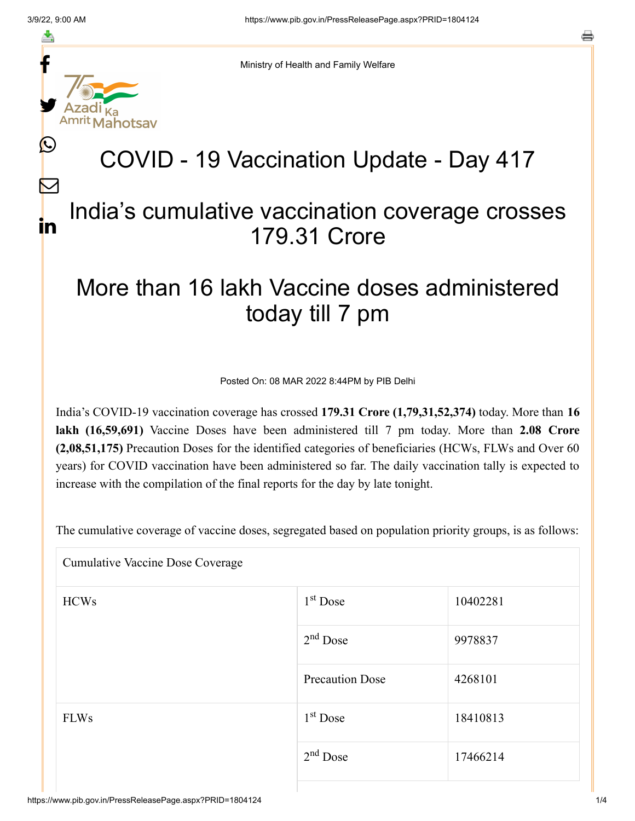f

≛

y.

lahotsav

L

 $\bm{\nabla}$ 

in

Ministry of Health and Family Welfare

## COVID - 19 Vaccination Update - Day 417

### India's cumulative vaccination coverage crosses 179.31 Crore

## More than 16 lakh Vaccine doses administered today till 7 pm

Posted On: 08 MAR 2022 8:44PM by PIB Delhi

India's COVID-19 vaccination coverage has crossed **179.31 Crore (1,79,31,52,374)** today. More than **16 lakh (16,59,691)** Vaccine Doses have been administered till 7 pm today. More than **2.08 Crore (2,08,51,175)** Precaution Doses for the identified categories of beneficiaries (HCWs, FLWs and Over 60 years) for COVID vaccination have been administered so far. The daily vaccination tally is expected to increase with the compilation of the final reports for the day by late tonight.

The cumulative coverage of vaccine doses, segregated based on population priority groups, is as follows:

| <b>Cumulative Vaccine Dose Coverage</b> |                        |          |  |  |
|-----------------------------------------|------------------------|----------|--|--|
| <b>HCWs</b>                             | $1st$ Dose             | 10402281 |  |  |
|                                         | $2nd$ Dose             | 9978837  |  |  |
|                                         | <b>Precaution Dose</b> | 4268101  |  |  |
| <b>FLWs</b>                             | 1 <sup>st</sup> Dose   | 18410813 |  |  |
|                                         | $2nd$ Dose             | 17466214 |  |  |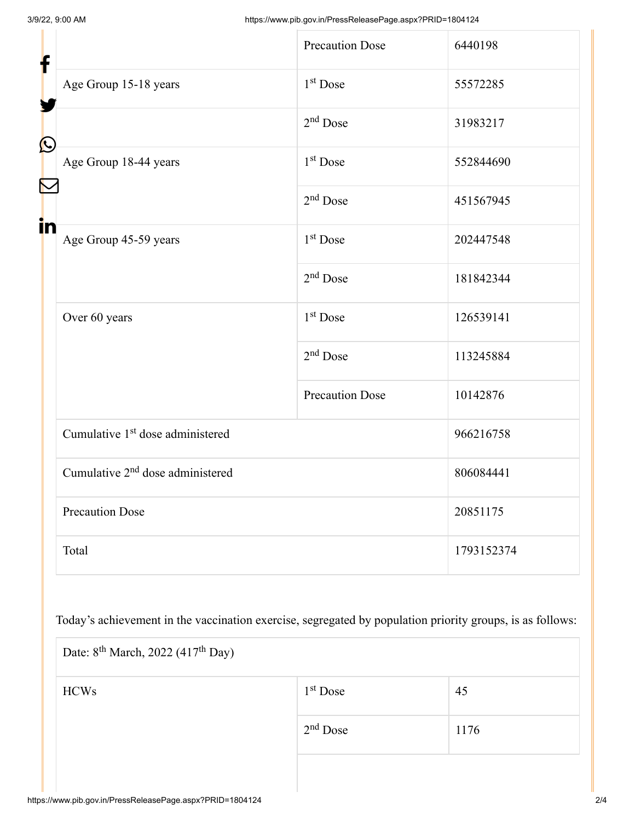| ┢                     |                                              | <b>Precaution Dose</b> | 6440198    |  |
|-----------------------|----------------------------------------------|------------------------|------------|--|
|                       | Age Group 15-18 years                        | 1 <sup>st</sup> Dose   | 55572285   |  |
|                       |                                              | $2nd$ Dose             | 31983217   |  |
| $\bigcirc$            | Age Group 18-44 years                        | 1 <sup>st</sup> Dose   | 552844690  |  |
| $\blacktriangleright$ |                                              | $2nd$ Dose             | 451567945  |  |
| in                    | Age Group 45-59 years                        | 1 <sup>st</sup> Dose   | 202447548  |  |
|                       |                                              | $2nd$ Dose             | 181842344  |  |
|                       | Over 60 years                                | 1 <sup>st</sup> Dose   | 126539141  |  |
|                       |                                              | $2nd$ Dose             | 113245884  |  |
|                       |                                              | <b>Precaution Dose</b> | 10142876   |  |
|                       | Cumulative 1 <sup>st</sup> dose administered |                        | 966216758  |  |
|                       | Cumulative 2 <sup>nd</sup> dose administered |                        | 806084441  |  |
|                       | <b>Precaution Dose</b>                       |                        | 20851175   |  |
|                       | Total                                        |                        | 1793152374 |  |

Today's achievement in the vaccination exercise, segregated by population priority groups, is as follows:

| Date: $8^{th}$ March, 2022 (417 <sup>th</sup> Day) |            |      |  |  |
|----------------------------------------------------|------------|------|--|--|
| <b>HCWs</b>                                        | $1st$ Dose | 45   |  |  |
|                                                    | $2nd$ Dose | 1176 |  |  |
|                                                    |            |      |  |  |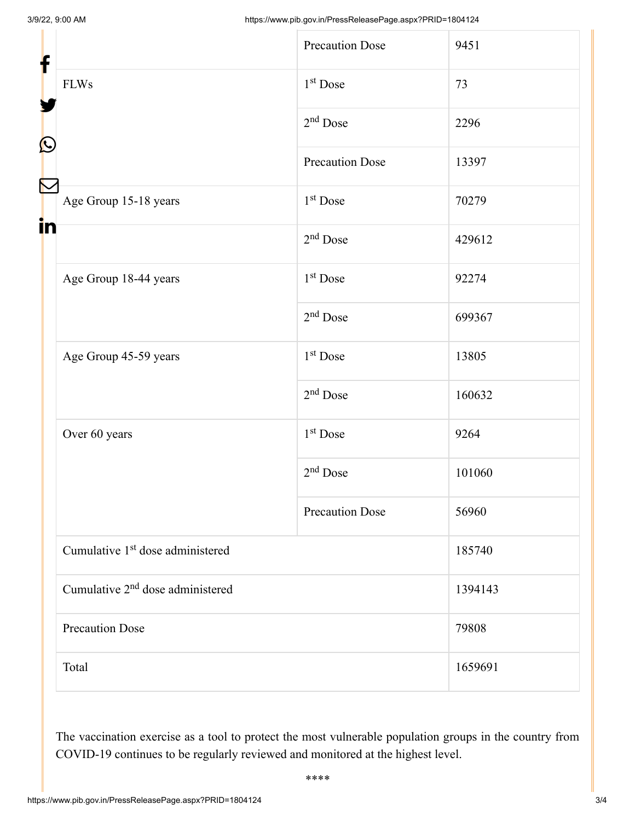| f<br>$\mathbf{\Omega}$ |                                              | <b>Precaution Dose</b> | 9451    |  |
|------------------------|----------------------------------------------|------------------------|---------|--|
|                        | <b>FLWs</b>                                  | 1 <sup>st</sup> Dose   | 73      |  |
|                        |                                              | $2nd$ Dose             | 2296    |  |
|                        |                                              | <b>Precaution Dose</b> | 13397   |  |
|                        | Age Group 15-18 years                        | 1 <sup>st</sup> Dose   | 70279   |  |
| in                     |                                              | $2nd$ Dose             | 429612  |  |
|                        | Age Group 18-44 years                        | 1 <sup>st</sup> Dose   | 92274   |  |
|                        |                                              | $2nd$ Dose             | 699367  |  |
|                        | Age Group 45-59 years                        | 1 <sup>st</sup> Dose   | 13805   |  |
|                        |                                              | $2nd$ Dose             | 160632  |  |
|                        | Over 60 years                                | 1 <sup>st</sup> Dose   | 9264    |  |
|                        |                                              | $2nd$ Dose             | 101060  |  |
|                        |                                              | <b>Precaution Dose</b> | 56960   |  |
|                        | Cumulative 1 <sup>st</sup> dose administered |                        | 185740  |  |
|                        | Cumulative 2 <sup>nd</sup> dose administered |                        | 1394143 |  |
|                        | <b>Precaution Dose</b>                       |                        | 79808   |  |
|                        | Total                                        |                        | 1659691 |  |

The vaccination exercise as a tool to protect the most vulnerable population groups in the country from COVID-19 continues to be regularly reviewed and monitored at the highest level.